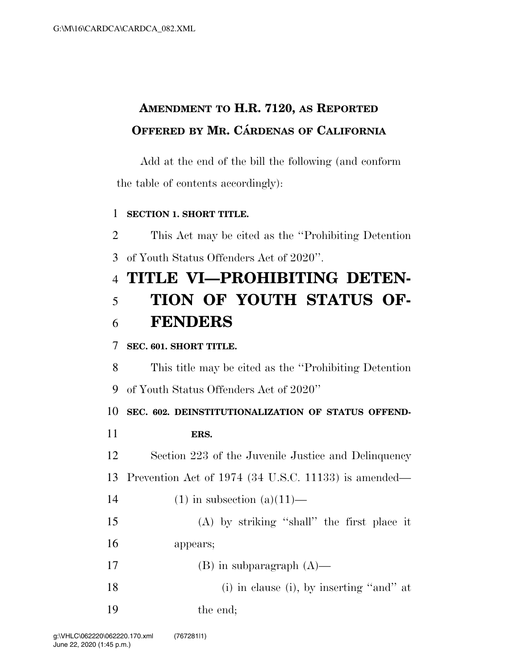## **AMENDMENT TO H.R. 7120, AS REPORTED OFFERED BY MR. CÁRDENAS OF CALIFORNIA**

Add at the end of the bill the following (and conform the table of contents accordingly):

## **SECTION 1. SHORT TITLE.**

 This Act may be cited as the ''Prohibiting Detention of Youth Status Offenders Act of 2020''.

## **TITLE VI—PROHIBITING DETEN- TION OF YOUTH STATUS OF-FENDERS**

## **SEC. 601. SHORT TITLE.**

This title may be cited as the ''Prohibiting Detention

of Youth Status Offenders Act of 2020''

**SEC. 602. DEINSTITUTIONALIZATION OF STATUS OFFEND-**

**ERS.** 

Section 223 of the Juvenile Justice and Delinquency

Prevention Act of 1974 (34 U.S.C. 11133) is amended—

- 14 (1) in subsection  $(a)(11)$ —
- (A) by striking ''shall'' the first place it appears;
- 17 (B) in subparagraph  $(A)$ —
- 18 (i) in clause (i), by inserting "and" at

the end;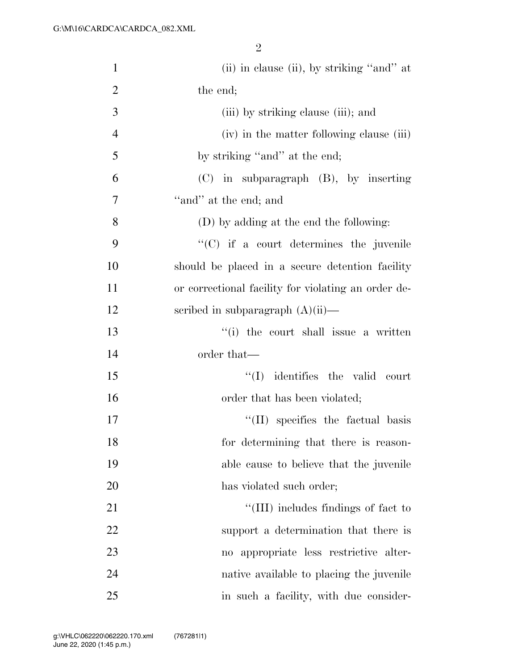2

| $\mathbf{1}$   | (ii) in clause (ii), by striking "and" at           |
|----------------|-----------------------------------------------------|
| $\overline{2}$ | the end;                                            |
| 3              | (iii) by striking clause (iii); and                 |
| $\overline{4}$ | (iv) in the matter following clause (iii)           |
| 5              | by striking "and" at the end;                       |
| 6              | $(C)$ in subparagraph $(B)$ , by inserting          |
| 7              | "and" at the end; and                               |
| 8              | (D) by adding at the end the following:             |
| 9              | $\lq\lq$ (C) if a court determines the juvenile     |
| 10             | should be placed in a secure detention facility     |
| 11             | or correctional facility for violating an order de- |
| 12             | scribed in subparagraph $(A)(ii)$ —                 |
| 13             | "(i) the court shall issue a written                |
| 14             | order that—                                         |
| 15             | $\lq\lq$ identifies the valid court                 |
| 16             | order that has been violated;                       |
| 17             | $\lq\lq$ (II) specifies the factual basis           |
| 18             | for determining that there is reason-               |
| 19             | able cause to believe that the juvenile             |
| 20             | has violated such order;                            |
| 21             | "(III) includes findings of fact to                 |
| 22             | support a determination that there is               |
| 23             | no appropriate less restrictive alter-              |
| 24             | native available to placing the juvenile            |
| 25             | in such a facility, with due consider-              |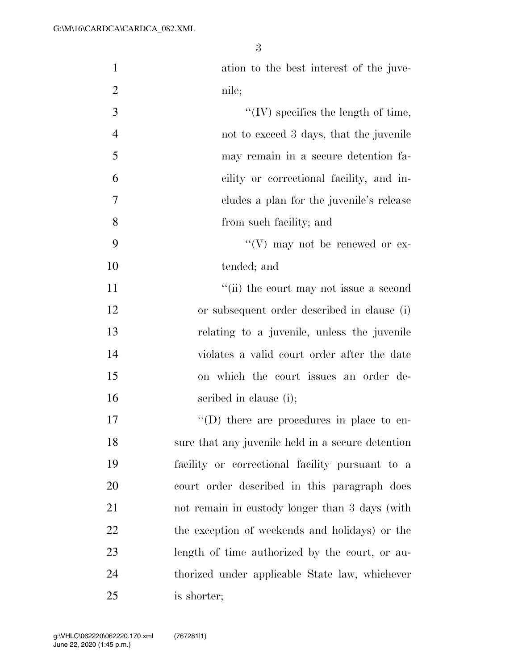ation to the best interest of the juve-2 nile; ''(IV) specifies the length of time, not to exceed 3 days, that the juvenile may remain in a secure detention fa- cility or correctional facility, and in- cludes a plan for the juvenile's release from such facility; and  $\mathcal{C}(V)$  may not be renewed or ex- tended; and 11 ''(ii) the court may not issue a second or subsequent order described in clause (i) relating to a juvenile, unless the juvenile violates a valid court order after the date on which the court issues an order de-16 seribed in clause (i);  $\langle \text{`}(D) \rangle$  there are procedures in place to en- sure that any juvenile held in a secure detention facility or correctional facility pursuant to a court order described in this paragraph does not remain in custody longer than 3 days (with

 the exception of weekends and holidays) or the length of time authorized by the court, or au- thorized under applicable State law, whichever is shorter;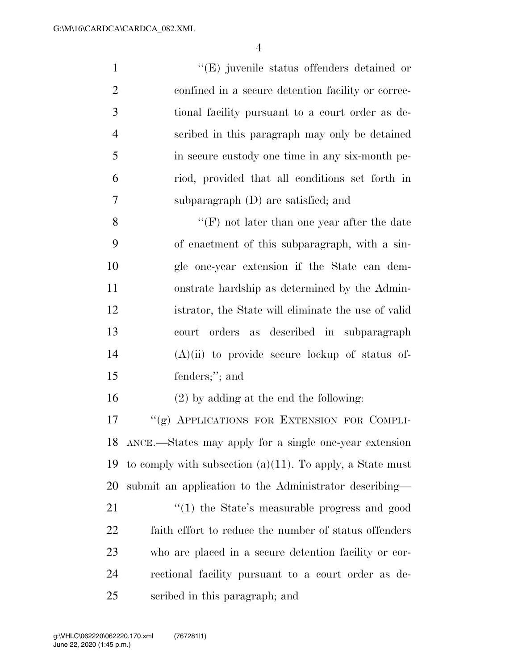$''(E)$  juvenile status offenders detained or confined in a secure detention facility or correc- tional facility pursuant to a court order as de- scribed in this paragraph may only be detained in secure custody one time in any six-month pe- riod, provided that all conditions set forth in subparagraph (D) are satisfied; and ''(F) not later than one year after the date

 of enactment of this subparagraph, with a sin- gle one-year extension if the State can dem- onstrate hardship as determined by the Admin- istrator, the State will eliminate the use of valid court orders as described in subparagraph (A)(ii) to provide secure lockup of status of-fenders;''; and

(2) by adding at the end the following:

17 ""(g) APPLICATIONS FOR EXTENSION FOR COMPLI- ANCE.—States may apply for a single one-year extension 19 to comply with subsection  $(a)(11)$ . To apply, a State must submit an application to the Administrator describing—

21 "(1) the State's measurable progress and good faith effort to reduce the number of status offenders who are placed in a secure detention facility or cor- rectional facility pursuant to a court order as de-scribed in this paragraph; and